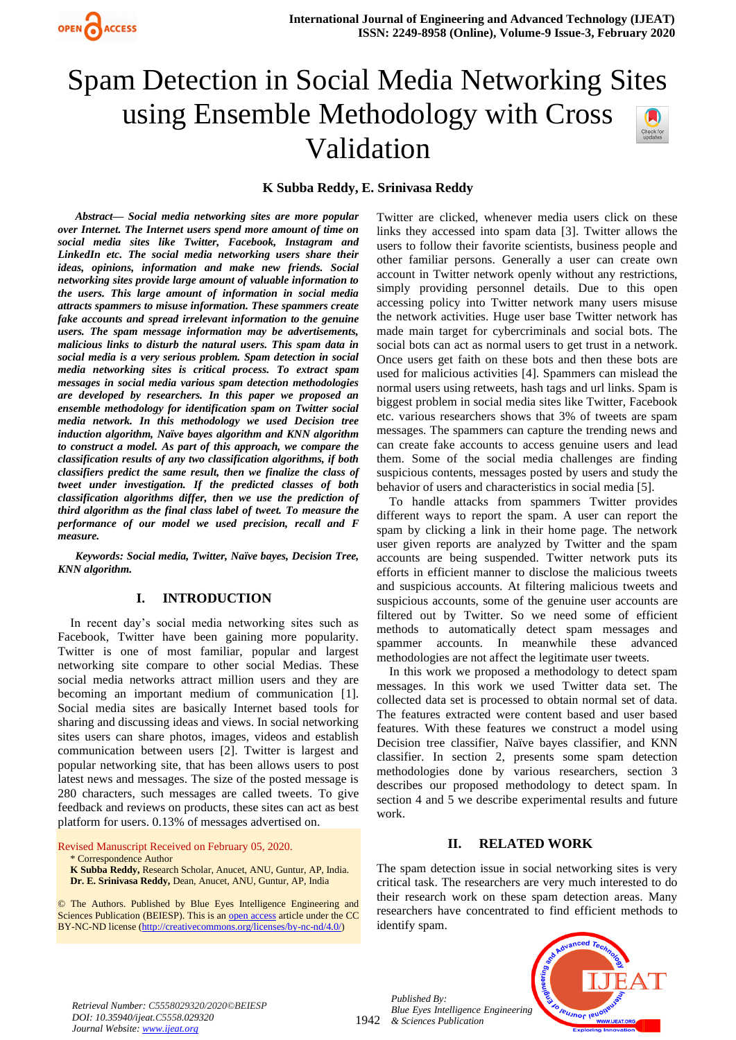

# Spam Detection in Social Media Networking Sites using Ensemble Methodology with Cross Validation



#### **K Subba Reddy, E. Srinivasa Reddy**

*Abstract— Social media networking sites are more popular over Internet. The Internet users spend more amount of time on social media sites like Twitter, Facebook, Instagram and LinkedIn etc. The social media networking users share their ideas, opinions, information and make new friends. Social networking sites provide large amount of valuable information to the users. This large amount of information in social media attracts spammers to misuse information. These spammers create fake accounts and spread irrelevant information to the genuine users. The spam message information may be advertisements, malicious links to disturb the natural users. This spam data in social media is a very serious problem. Spam detection in social media networking sites is critical process. To extract spam messages in social media various spam detection methodologies are developed by researchers. In this paper we proposed an ensemble methodology for identification spam on Twitter social media network. In this methodology we used Decision tree induction algorithm, Naïve bayes algorithm and KNN algorithm to construct a model. As part of this approach, we compare the classification results of any two classification algorithms, if both classifiers predict the same result, then we finalize the class of tweet under investigation. If the predicted classes of both classification algorithms differ, then we use the prediction of third algorithm as the final class label of tweet. To measure the performance of our model we used precision, recall and F measure.*

*Keywords: Social media, Twitter, Naïve bayes, Decision Tree, KNN algorithm.*

#### **I. INTRODUCTION**

In recent day's social media networking sites such as Facebook, Twitter have been gaining more popularity. Twitter is one of most familiar, popular and largest networking site compare to other social Medias. These social media networks attract million users and they are becoming an important medium of communication [1]. Social media sites are basically Internet based tools for sharing and discussing ideas and views. In social networking sites users can share photos, images, videos and establish communication between users [2]. Twitter is largest and popular networking site, that has been allows users to post latest news and messages. The size of the posted message is 280 characters, such messages are called tweets. To give feedback and reviews on products, these sites can act as best platform for users. 0.13% of messages advertised on.

Revised Manuscript Received on February 05, 2020. \* Correspondence Author

**K Subba Reddy,** Research Scholar, Anucet, ANU, Guntur, AP, India. **Dr. E. Srinivasa Reddy,** Dean, Anucet, ANU, Guntur, AP, India

© The Authors. Published by Blue Eyes Intelligence Engineering and Sciences Publication (BEIESP). This is a[n open access](https://www.openaccess.nl/en/open-publications) article under the CC BY-NC-ND license [\(http://creativecommons.org/licenses/by-nc-nd/4.0/\)](http://creativecommons.org/licenses/by-nc-nd/4.0/)

Twitter are clicked, whenever media users click on these links they accessed into spam data [3]. Twitter allows the users to follow their favorite scientists, business people and other familiar persons. Generally a user can create own account in Twitter network openly without any restrictions, simply providing personnel details. Due to this open accessing policy into Twitter network many users misuse the network activities. Huge user base Twitter network has made main target for cybercriminals and social bots. The social bots can act as normal users to get trust in a network. Once users get faith on these bots and then these bots are used for malicious activities [4]. Spammers can mislead the normal users using retweets, hash tags and url links. Spam is biggest problem in social media sites like Twitter, Facebook etc. various researchers shows that 3% of tweets are spam messages. The spammers can capture the trending news and can create fake accounts to access genuine users and lead them. Some of the social media challenges are finding suspicious contents, messages posted by users and study the behavior of users and characteristics in social media [5].

To handle attacks from spammers Twitter provides different ways to report the spam. A user can report the spam by clicking a link in their home page. The network user given reports are analyzed by Twitter and the spam accounts are being suspended. Twitter network puts its efforts in efficient manner to disclose the malicious tweets and suspicious accounts. At filtering malicious tweets and suspicious accounts, some of the genuine user accounts are filtered out by Twitter. So we need some of efficient methods to automatically detect spam messages and spammer accounts. In meanwhile these advanced methodologies are not affect the legitimate user tweets.

In this work we proposed a methodology to detect spam messages. In this work we used Twitter data set. The collected data set is processed to obtain normal set of data. The features extracted were content based and user based features. With these features we construct a model using Decision tree classifier, Naïve bayes classifier, and KNN classifier. In section 2, presents some spam detection methodologies done by various researchers, section 3 describes our proposed methodology to detect spam. In section 4 and 5 we describe experimental results and future work.

### **II. RELATED WORK**

The spam detection issue in social networking sites is very critical task. The researchers are very much interested to do their research work on these spam detection areas. Many researchers have concentrated to find efficient methods to identify spam.



*Retrieval Number: C5558029320/2020©BEIESP DOI: 10.35940/ijeat.C5558.029320 Journal Website[: www.ijeat.org](http://www.ijeat.org/)*

1942 *& Sciences Publication Published By: Blue Eyes Intelligence Engineering*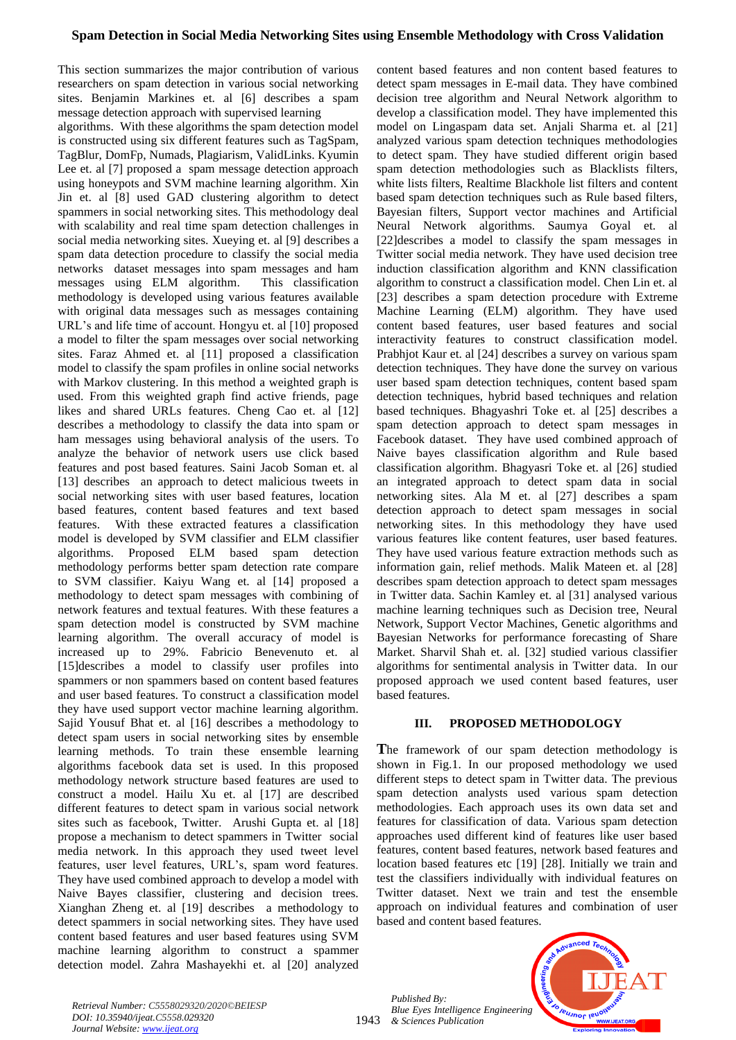This section summarizes the major contribution of various researchers on spam detection in various social networking sites. Benjamin Markines et. al [6] describes a spam message detection approach with supervised learning

algorithms. With these algorithms the spam detection model is constructed using six different features such as TagSpam, TagBlur, DomFp, Numads, Plagiarism, ValidLinks. Kyumin Lee et. al [7] proposed a spam message detection approach using honeypots and SVM machine learning algorithm. Xin Jin et. al [8] used GAD clustering algorithm to detect spammers in social networking sites. This methodology deal with scalability and real time spam detection challenges in social media networking sites. Xueying et. al [9] describes a spam data detection procedure to classify the social media networks dataset messages into spam messages and ham messages using ELM algorithm. This classification methodology is developed using various features available with original data messages such as messages containing URL's and life time of account. Hongyu et. al [10] proposed a model to filter the spam messages over social networking sites. Faraz Ahmed et. al [11] proposed a classification model to classify the spam profiles in online social networks with Markov clustering. In this method a weighted graph is used. From this weighted graph find active friends, page likes and shared URLs features. Cheng Cao et. al [12] describes a methodology to classify the data into spam or ham messages using behavioral analysis of the users. To analyze the behavior of network users use click based features and post based features. Saini Jacob Soman et. al [13] describes an approach to detect malicious tweets in social networking sites with user based features, location based features, content based features and text based features. With these extracted features a classification model is developed by SVM classifier and ELM classifier algorithms. Proposed ELM based spam detection methodology performs better spam detection rate compare to SVM classifier. Kaiyu Wang et. al [14] proposed a methodology to detect spam messages with combining of network features and textual features. With these features a spam detection model is constructed by SVM machine learning algorithm. The overall accuracy of model is increased up to 29%. Fabricio Benevenuto et. al [15]describes a model to classify user profiles into spammers or non spammers based on content based features and user based features. To construct a classification model they have used support vector machine learning algorithm. Sajid Yousuf Bhat et. al [16] describes a methodology to detect spam users in social networking sites by ensemble learning methods. To train these ensemble learning algorithms facebook data set is used. In this proposed methodology network structure based features are used to construct a model. Hailu Xu et. al [17] are described different features to detect spam in various social network sites such as facebook, Twitter. Arushi Gupta et. al [18] propose a mechanism to detect spammers in Twitter social media network. In this approach they used tweet level features, user level features, URL's, spam word features. They have used combined approach to develop a model with Naive Bayes classifier, clustering and decision trees. Xianghan Zheng et. al [19] describes a methodology to detect spammers in social networking sites. They have used content based features and user based features using SVM machine learning algorithm to construct a spammer detection model. Zahra Mashayekhi et. al [20] analyzed content based features and non content based features to detect spam messages in E-mail data. They have combined decision tree algorithm and Neural Network algorithm to develop a classification model. They have implemented this model on Lingaspam data set. Anjali Sharma et. al [21] analyzed various spam detection techniques methodologies to detect spam. They have studied different origin based spam detection methodologies such as Blacklists filters, white lists filters, Realtime Blackhole list filters and content based spam detection techniques such as Rule based filters, Bayesian filters, Support vector machines and Artificial Neural Network algorithms. Saumya Goyal et. al [22]describes a model to classify the spam messages in Twitter social media network. They have used decision tree induction classification algorithm and KNN classification algorithm to construct a classification model. Chen Lin et. al [23] describes a spam detection procedure with Extreme Machine Learning (ELM) algorithm. They have used content based features, user based features and social interactivity features to construct classification model. Prabhjot Kaur et. al [24] describes a survey on various spam detection techniques. They have done the survey on various user based spam detection techniques, content based spam detection techniques, hybrid based techniques and relation based techniques. Bhagyashri Toke et. al [25] describes a spam detection approach to detect spam messages in Facebook dataset. They have used combined approach of Naive bayes classification algorithm and Rule based classification algorithm. Bhagyasri Toke et. al [26] studied an integrated approach to detect spam data in social networking sites. Ala M et. al [27] describes a spam detection approach to detect spam messages in social networking sites. In this methodology they have used various features like content features, user based features. They have used various feature extraction methods such as information gain, relief methods. Malik Mateen et. al [28] describes spam detection approach to detect spam messages in Twitter data. Sachin Kamley et. al [31] analysed various machine learning techniques such as Decision tree, Neural Network, Support Vector Machines, Genetic algorithms and Bayesian Networks for performance forecasting of Share Market. Sharvil Shah et. al. [32] studied various classifier algorithms for sentimental analysis in Twitter data. In our proposed approach we used content based features, user based features.

#### **III. PROPOSED METHODOLOGY**

**T**he framework of our spam detection methodology is shown in Fig.1. In our proposed methodology we used different steps to detect spam in Twitter data. The previous spam detection analysts used various spam detection methodologies. Each approach uses its own data set and features for classification of data. Various spam detection approaches used different kind of features like user based features, content based features, network based features and location based features etc [19] [28]. Initially we train and test the classifiers individually with individual features on Twitter dataset. Next we train and test the ensemble approach on individual features and combination of user based and content based features.

*Published By: Blue Eyes Intelligence Engineering & Sciences Publication* 

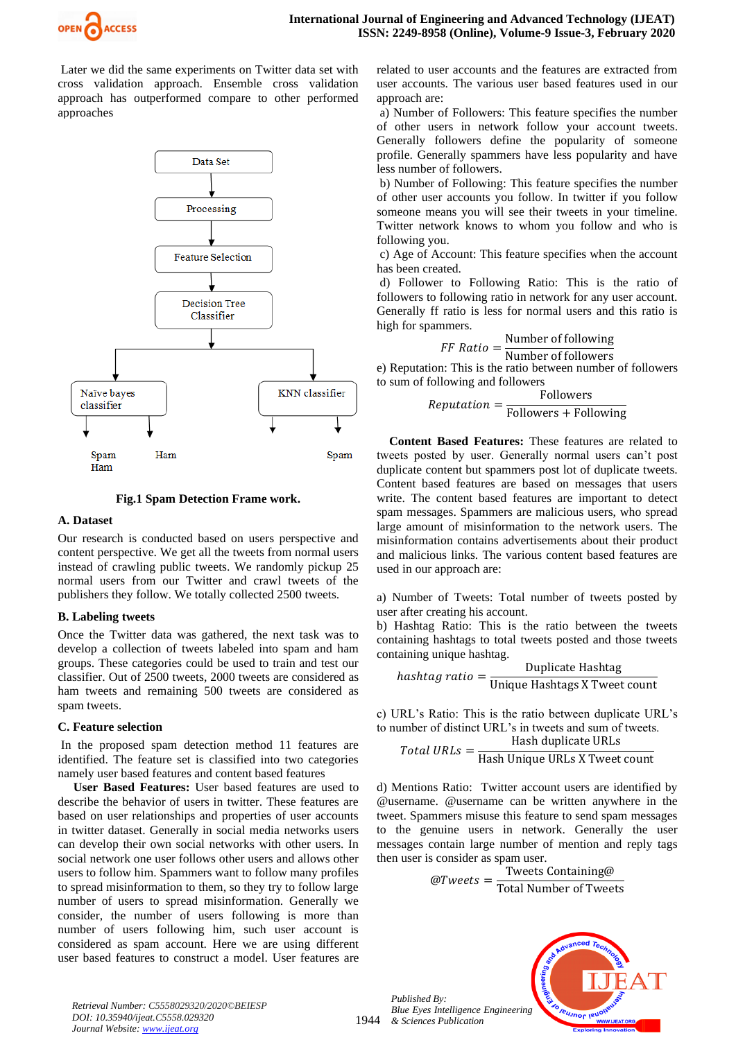

Later we did the same experiments on Twitter data set with cross validation approach. Ensemble cross validation approach has outperformed compare to other performed approaches



**Fig.1 Spam Detection Frame work.**

#### **A. Dataset**

Our research is conducted based on users perspective and content perspective. We get all the tweets from normal users instead of crawling public tweets. We randomly pickup 25 normal users from our Twitter and crawl tweets of the publishers they follow. We totally collected 2500 tweets.

#### **B. Labeling tweets**

Once the Twitter data was gathered, the next task was to develop a collection of tweets labeled into spam and ham groups. These categories could be used to train and test our classifier. Out of 2500 tweets, 2000 tweets are considered as ham tweets and remaining 500 tweets are considered as spam tweets.

#### **C. Feature selection**

In the proposed spam detection method 11 features are identified. The feature set is classified into two categories namely user based features and content based features

**User Based Features:** User based features are used to describe the behavior of users in twitter. These features are based on user relationships and properties of user accounts in twitter dataset. Generally in social media networks users can develop their own social networks with other users. In social network one user follows other users and allows other users to follow him. Spammers want to follow many profiles to spread misinformation to them, so they try to follow large number of users to spread misinformation. Generally we consider, the number of users following is more than number of users following him, such user account is considered as spam account. Here we are using different user based features to construct a model. User features are related to user accounts and the features are extracted from user accounts. The various user based features used in our approach are:

a) Number of Followers: This feature specifies the number of other users in network follow your account tweets. Generally followers define the popularity of someone profile. Generally spammers have less popularity and have less number of followers.

b) Number of Following: This feature specifies the number of other user accounts you follow. In twitter if you follow someone means you will see their tweets in your timeline. Twitter network knows to whom you follow and who is following you.

c) Age of Account: This feature specifies when the account has been created.

d) Follower to Following Ratio: This is the ratio of followers to following ratio in network for any user account. Generally ff ratio is less for normal users and this ratio is high for spammers.

> $FF Ratio =$ Number of following

Number of followers

e) Reputation: This is the ratio between number of followers to sum of following and followers

$$
Reputation = \frac{Followers}{Followers + Following}
$$

**Content Based Features:** These features are related to tweets posted by user. Generally normal users can't post duplicate content but spammers post lot of duplicate tweets. Content based features are based on messages that users write. The content based features are important to detect spam messages. Spammers are malicious users, who spread large amount of misinformation to the network users. The misinformation contains advertisements about their product and malicious links. The various content based features are used in our approach are:

a) Number of Tweets: Total number of tweets posted by user after creating his account.

b) Hashtag Ratio: This is the ratio between the tweets containing hashtags to total tweets posted and those tweets containing unique hashtag.

$$
has htag ratio = \frac{Duplicate Hashtag}{Unique Hashtags X Tweet count}
$$

c) URL's Ratio: This is the ratio between duplicate URL's to number of distinct URL's in tweets and sum of tweets.

$$
Total URLs = \frac{Hash duplicate URLs}{Hash Unique URLs X Tweet count}
$$

d) Mentions Ratio: Twitter account users are identified by @username. @username can be written anywhere in the tweet. Spammers misuse this feature to send spam messages to the genuine users in network. Generally the user messages contain large number of mention and reply tags then user is consider as spam user.

$$
@Tweets = \frac{\text{Tweets Containing@}}{\text{Total Number of Tweets}}
$$

*Published By: Blue Eyes Intelligence Engineering & Sciences Publication* 

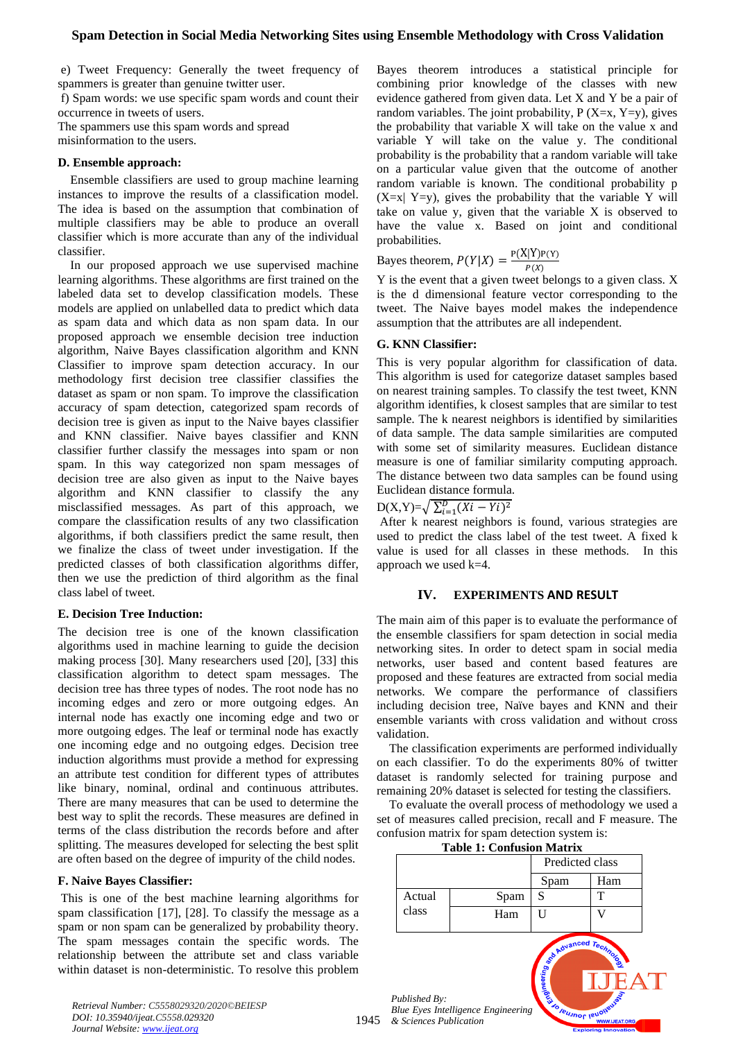#### **Spam Detection in Social Media Networking Sites using Ensemble Methodology with Cross Validation**

e) Tweet Frequency: Generally the tweet frequency of spammers is greater than genuine twitter user.

f) Spam words: we use specific spam words and count their occurrence in tweets of users.

The spammers use this spam words and spread misinformation to the users.

#### **D. Ensemble approach:**

Ensemble classifiers are used to group machine learning instances to improve the results of a classification model. The idea is based on the assumption that combination of multiple classifiers may be able to produce an overall classifier which is more accurate than any of the individual classifier.

In our proposed approach we use supervised machine learning algorithms. These algorithms are first trained on the labeled data set to develop classification models. These models are applied on unlabelled data to predict which data as spam data and which data as non spam data. In our proposed approach we ensemble decision tree induction algorithm, Naive Bayes classification algorithm and KNN Classifier to improve spam detection accuracy. In our methodology first decision tree classifier classifies the dataset as spam or non spam. To improve the classification accuracy of spam detection, categorized spam records of decision tree is given as input to the Naive bayes classifier and KNN classifier. Naive bayes classifier and KNN classifier further classify the messages into spam or non spam. In this way categorized non spam messages of decision tree are also given as input to the Naive bayes algorithm and KNN classifier to classify the any misclassified messages. As part of this approach, we compare the classification results of any two classification algorithms, if both classifiers predict the same result, then we finalize the class of tweet under investigation. If the predicted classes of both classification algorithms differ, then we use the prediction of third algorithm as the final class label of tweet.

#### **E. Decision Tree Induction:**

The decision tree is one of the known classification algorithms used in machine learning to guide the decision making process [30]. Many researchers used [20], [33] this classification algorithm to detect spam messages. The decision tree has three types of nodes. The root node has no incoming edges and zero or more outgoing edges. An internal node has exactly one incoming edge and two or more outgoing edges. The leaf or terminal node has exactly one incoming edge and no outgoing edges. Decision tree induction algorithms must provide a method for expressing an attribute test condition for different types of attributes like binary, nominal, ordinal and continuous attributes. There are many measures that can be used to determine the best way to split the records. These measures are defined in terms of the class distribution the records before and after splitting. The measures developed for selecting the best split are often based on the degree of impurity of the child nodes.

#### **F. Naive Bayes Classifier:**

This is one of the best machine learning algorithms for spam classification [17], [28]. To classify the message as a spam or non spam can be generalized by probability theory. The spam messages contain the specific words. The relationship between the attribute set and class variable within dataset is non-deterministic. To resolve this problem

Bayes theorem introduces a statistical principle for combining prior knowledge of the classes with new evidence gathered from given data. Let X and Y be a pair of random variables. The joint probability,  $P(X=x, Y=y)$ , gives the probability that variable X will take on the value x and variable Y will take on the value y. The conditional probability is the probability that a random variable will take on a particular value given that the outcome of another random variable is known. The conditional probability p  $(X=x| Y=y)$ , gives the probability that the variable Y will take on value y, given that the variable X is observed to have the value x. Based on joint and conditional probabilities.

Bayes theorem,  $P(Y|X) = \frac{P(X|Y)P(Y)}{P(Y)}$  $P(X)$ 

Y is the event that a given tweet belongs to a given class. X is the d dimensional feature vector corresponding to the tweet. The Naive bayes model makes the independence assumption that the attributes are all independent.

#### **G. KNN Classifier:**

This is very popular algorithm for classification of data. This algorithm is used for categorize dataset samples based on nearest training samples. To classify the test tweet, KNN algorithm identifies, k closest samples that are similar to test sample. The k nearest neighbors is identified by similarities of data sample. The data sample similarities are computed with some set of similarity measures. Euclidean distance measure is one of familiar similarity computing approach. The distance between two data samples can be found using Euclidean distance formula.

 $D(X,Y)=\sqrt{\sum_{i=1}^{D} (Xi - Y_i)^2}$ 

After k nearest neighbors is found, various strategies are used to predict the class label of the test tweet. A fixed k value is used for all classes in these methods. In this approach we used k=4.

#### **IV. EXPERIMENTS AND RESULT**

The main aim of this paper is to evaluate the performance of the ensemble classifiers for spam detection in social media networking sites. In order to detect spam in social media networks, user based and content based features are proposed and these features are extracted from social media networks. We compare the performance of classifiers including decision tree, Naïve bayes and KNN and their ensemble variants with cross validation and without cross validation.

The classification experiments are performed individually on each classifier. To do the experiments 80% of twitter dataset is randomly selected for training purpose and remaining 20% dataset is selected for testing the classifiers.

To evaluate the overall process of methodology we used a set of measures called precision, recall and F measure. The confusion matrix for spam detection system is:

|   |                                         | <b>Table 1: Confusion Matrix</b>   |                              |                       |  |
|---|-----------------------------------------|------------------------------------|------------------------------|-----------------------|--|
|   |                                         |                                    | Predicted class              |                       |  |
|   |                                         |                                    | Spam                         | Ham                   |  |
|   | Actual                                  | Spam                               | S                            | т                     |  |
|   | class                                   | Ham                                | TΤ                           |                       |  |
| 5 | Published By:<br>& Sciences Publication | Blue Eyes Intelligence Engineering | <b>ESPANANCED TO MARINES</b> | <b>WWW.IJEAT.ORG,</b> |  |

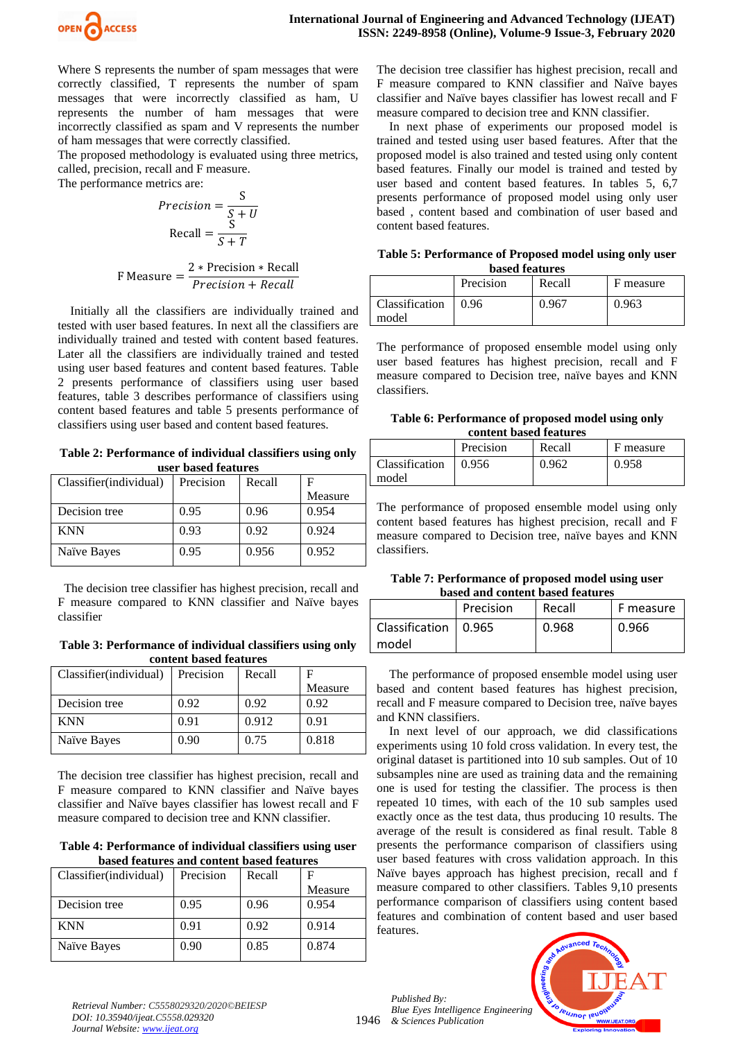

Where S represents the number of spam messages that were correctly classified, T represents the number of spam messages that were incorrectly classified as ham, U represents the number of ham messages that were incorrectly classified as spam and V represents the number of ham messages that were correctly classified.

The proposed methodology is evaluated using three metrics, called, precision, recall and F measure. The performance metrics are:

$$
Precision = \frac{S}{S + U}
$$

$$
Recall = \frac{S}{S + T}
$$

$$
F Measure = \frac{2 * Precision * Recall}{Precision + Recall}
$$

Initially all the classifiers are individually trained and tested with user based features. In next all the classifiers are individually trained and tested with content based features. Later all the classifiers are individually trained and tested using user based features and content based features. Table 2 presents performance of classifiers using user based features, table 3 describes performance of classifiers using content based features and table 5 presents performance of classifiers using user based and content based features.

**Table 2: Performance of individual classifiers using only user based features**

| Classifier (individual) | Precision | Recall |         |
|-------------------------|-----------|--------|---------|
|                         |           |        | Measure |
| Decision tree           | 0.95      | 0.96   | 0.954   |
| <b>KNN</b>              | 0.93      | 0.92   | 0.924   |
| Naïve Bayes             | 0.95      | 0.956  | 0.952   |

 The decision tree classifier has highest precision, recall and F measure compared to KNN classifier and Naïve bayes classifier

**Table 3: Performance of individual classifiers using only content based features**

| Classifier (individual) | Precision | Recall |         |
|-------------------------|-----------|--------|---------|
|                         |           |        | Measure |
| Decision tree           | 0.92      | 0.92   | 0.92    |
| <b>KNN</b>              | 0.91      | 0.912  | 0.91    |
| Naïve Bayes             | 0.90      | 0.75   | 0.818   |

The decision tree classifier has highest precision, recall and F measure compared to KNN classifier and Naïve bayes classifier and Naïve bayes classifier has lowest recall and F measure compared to decision tree and KNN classifier.

**Table 4: Performance of individual classifiers using user based features and content based features**

| Classifier(individual) | Precision | Recall | F       |
|------------------------|-----------|--------|---------|
|                        |           |        | Measure |
| Decision tree          | 0.95      | 0.96   | 0.954   |
| <b>KNN</b>             | 0.91      | 0.92   | 0.914   |
| Naïve Bayes            | 0.90      | 0.85   | 0.874   |

The decision tree classifier has highest precision, recall and F measure compared to KNN classifier and Naïve bayes classifier and Naïve bayes classifier has lowest recall and F measure compared to decision tree and KNN classifier.

In next phase of experiments our proposed model is trained and tested using user based features. After that the proposed model is also trained and tested using only content based features. Finally our model is trained and tested by user based and content based features. In tables 5, 6,7 presents performance of proposed model using only user based , content based and combination of user based and content based features.

| Table 5: Performance of Proposed model using only user |  |
|--------------------------------------------------------|--|
| Lessal footnoor                                        |  |

| <b>based features</b> |           |        |           |  |
|-----------------------|-----------|--------|-----------|--|
|                       | Precision | Recall | F measure |  |
| Classification        | 0.96      | 0.967  | 0.963     |  |
| model                 |           |        |           |  |

The performance of proposed ensemble model using only user based features has highest precision, recall and F measure compared to Decision tree, naïve bayes and KNN classifiers.

#### **Table 6: Performance of proposed model using only content based features**

|                | Precision | Recall | F measure |
|----------------|-----------|--------|-----------|
| Classification | 0.956     | 0.962  | 0.958     |
| model          |           |        |           |

The performance of proposed ensemble model using only content based features has highest precision, recall and F measure compared to Decision tree, naïve bayes and KNN classifiers.

#### **Table 7: Performance of proposed model using user based and content based features**

| vascu anu conichti vascu icatul cs |           |        |           |  |  |
|------------------------------------|-----------|--------|-----------|--|--|
|                                    | Precision | Recall | F measure |  |  |
| Classification<br>model            | 10.965    | 0.968  | 0.966     |  |  |

The performance of proposed ensemble model using user based and content based features has highest precision, recall and F measure compared to Decision tree, naïve bayes and KNN classifiers.

In next level of our approach, we did classifications experiments using 10 fold cross validation. In every test, the original dataset is partitioned into 10 sub samples. Out of 10 subsamples nine are used as training data and the remaining one is used for testing the classifier. The process is then repeated 10 times, with each of the 10 sub samples used exactly once as the test data, thus producing 10 results. The average of the result is considered as final result. Table 8 presents the performance comparison of classifiers using user based features with cross validation approach. In this Naïve bayes approach has highest precision, recall and f measure compared to other classifiers. Tables 9,10 presents performance comparison of classifiers using content based features and combination of content based and user based features.

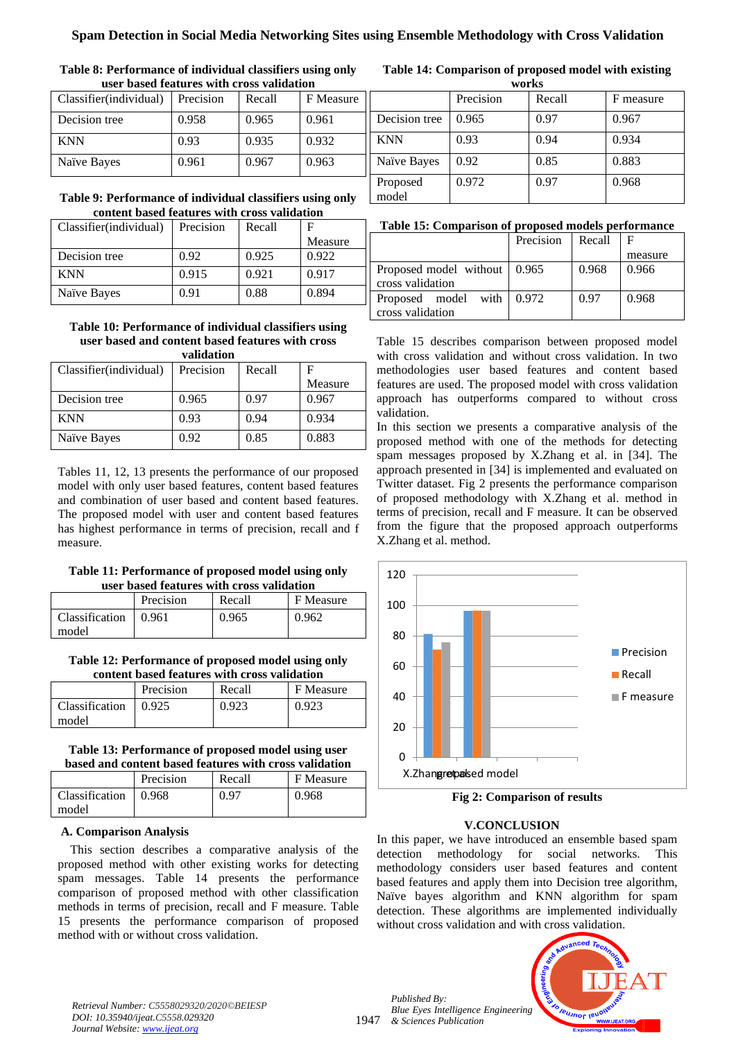| user based features with cross validation |           |        |           |  |
|-------------------------------------------|-----------|--------|-----------|--|
| Classifier(individual)                    | Precision | Recall | F Measure |  |
| Decision tree                             | 0.958     | 0.965  | 0.961     |  |
| <b>KNN</b>                                | 0.93      | 0.935  | 0.932     |  |
| Naïve Bayes                               | 0.961     | 0.967  | 0.963     |  |

## **Table 8: Performance of individual classifiers using only**

#### **Table 9: Performance of individual classifiers using only content based features with cross validation**

| Classifier (individual) | Precision | Recall |         |
|-------------------------|-----------|--------|---------|
|                         |           |        | Measure |
| Decision tree           | 0.92      | 0.925  | 0.922   |
| <b>KNN</b>              | 0.915     | 0.921  | 0.917   |
| Naïve Bayes             | 0.91      | 0.88   | 0.894   |

#### **Table 10: Performance of individual classifiers using user based and content based features with cross validation**

| уаппаноп                |           |        |         |  |
|-------------------------|-----------|--------|---------|--|
| Classifier (individual) | Precision | Recall | F       |  |
|                         |           |        | Measure |  |
| Decision tree           | 0.965     | 0.97   | 0.967   |  |
| <b>KNN</b>              | 0.93      | 0.94   | 0.934   |  |
| Naïve Bayes             | 0.92      | 0.85   | 0.883   |  |

Tables 11, 12, 13 presents the performance of our proposed model with only user based features, content based features and combination of user based and content based features. The proposed model with user and content based features has highest performance in terms of precision, recall and f measure.

#### **Table 11: Performance of proposed model using only user based features with cross validation**

|                         | Precision | Recall | F Measure |
|-------------------------|-----------|--------|-----------|
| Classification<br>model | 0.961     | 0.965  | 0.962     |

**Table 12: Performance of proposed model using only content based features with cross validation**

|                | Precision | Recall | F Measure |
|----------------|-----------|--------|-----------|
| Classification | 0.925     | 0.923  | 0.923     |
| model          |           |        |           |

#### **Table 13: Performance of proposed model using user based and content based features with cross validation**

|                | Precision | Recall | F Measure |  |  |
|----------------|-----------|--------|-----------|--|--|
| Classification | 0.968     | 0.97   | 0.968     |  |  |
| model          |           |        |           |  |  |

### **A. Comparison Analysis**

This section describes a comparative analysis of the proposed method with other existing works for detecting spam messages. Table 14 presents the performance comparison of proposed method with other classification methods in terms of precision, recall and F measure. Table 15 presents the performance comparison of proposed method with or without cross validation.

#### **Table 14: Comparison of proposed model with existing works**

| ** VI ISD         |           |        |           |  |  |  |
|-------------------|-----------|--------|-----------|--|--|--|
|                   | Precision | Recall | F measure |  |  |  |
| Decision tree     | 0.965     | 0.97   | 0.967     |  |  |  |
| <b>KNN</b>        | 0.93      | 0.94   | 0.934     |  |  |  |
| Naïve Bayes       | 0.92      | 0.85   | 0.883     |  |  |  |
| Proposed<br>model | 0.972     | 0.97   | 0.968     |  |  |  |

#### **Table 15: Comparison of proposed models performance**

|                                                    | Precision | Recall | F       |
|----------------------------------------------------|-----------|--------|---------|
|                                                    |           |        | measure |
| Proposed model without   0.965<br>cross validation |           | 0.968  | 0.966   |
| Proposed model with $0.972$<br>cross validation    |           | 0.97   | 0.968   |

Table 15 describes comparison between proposed model with cross validation and without cross validation. In two methodologies user based features and content based features are used. The proposed model with cross validation approach has outperforms compared to without cross validation.

In this section we presents a comparative analysis of the proposed method with one of the methods for detecting spam messages proposed by X.Zhang et al. in [34]. The approach presented in [34] is implemented and evaluated on Twitter dataset. Fig 2 presents the performance comparison of proposed methodology with X.Zhang et al. method in terms of precision, recall and F measure. It can be observed from the figure that the proposed approach outperforms X.Zhang et al. method.



**Fig 2: Comparison of results**

### **V.CONCLUSION**

In this paper, we have introduced an ensemble based spam detection methodology for social networks. This methodology considers user based features and content based features and apply them into Decision tree algorithm, Naïve bayes algorithm and KNN algorithm for spam detection. These algorithms are implemented individually without cross validation and with cross validation.



*Retrieval Number: C5558029320/2020©BEIESP DOI: 10.35940/ijeat.C5558.029320 Journal Website[: www.ijeat.org](http://www.ijeat.org/)*

1947 *Published By: Blue Eyes Intelligence Engineering & Sciences Publication*